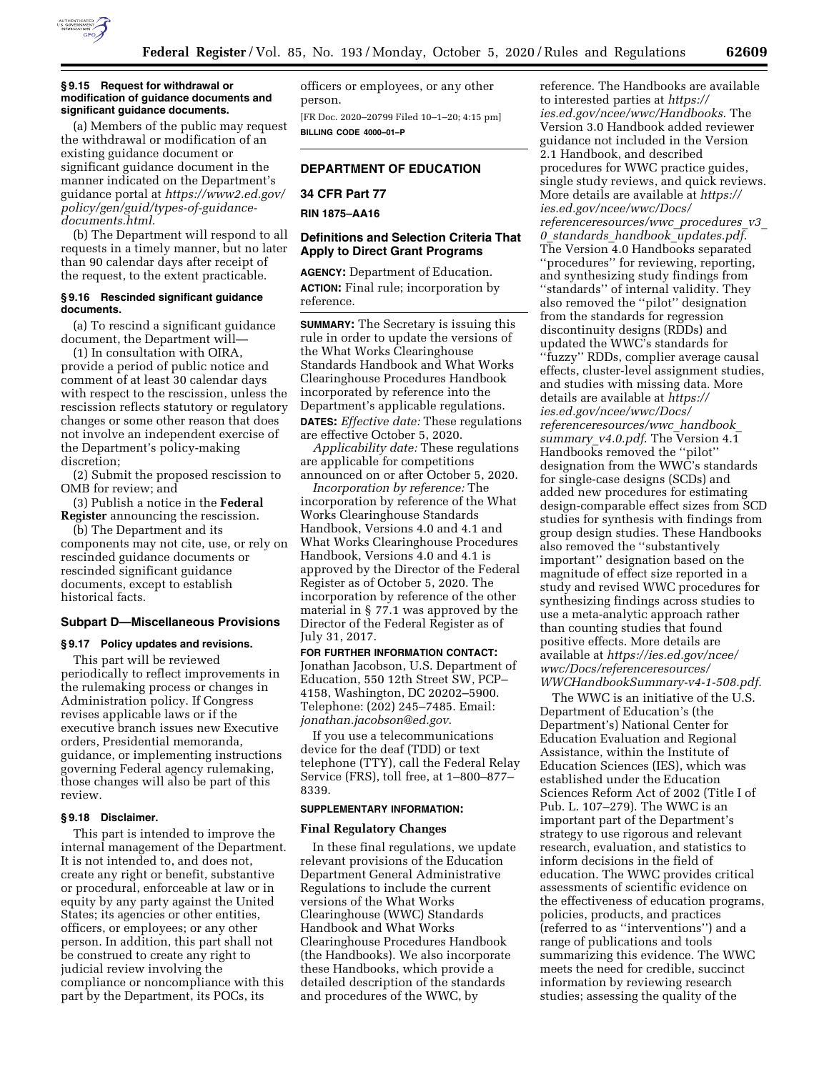

(a) Members of the public may request the withdrawal or modification of an existing guidance document or significant guidance document in the manner indicated on the Department's guidance portal at *[https://www2.ed.gov/](https://www2.ed.gov/policy/gen/guid/types-of-guidance-documents.html)  [policy/gen/guid/types-of-guidance](https://www2.ed.gov/policy/gen/guid/types-of-guidance-documents.html)[documents.html.](https://www2.ed.gov/policy/gen/guid/types-of-guidance-documents.html)* 

(b) The Department will respond to all requests in a timely manner, but no later than 90 calendar days after receipt of the request, to the extent practicable.

### **§ 9.16 Rescinded significant guidance documents.**

(a) To rescind a significant guidance document, the Department will—

(1) In consultation with OIRA, provide a period of public notice and comment of at least 30 calendar days with respect to the rescission, unless the rescission reflects statutory or regulatory changes or some other reason that does not involve an independent exercise of the Department's policy-making discretion;

(2) Submit the proposed rescission to OMB for review; and

(3) Publish a notice in the **Federal Register** announcing the rescission.

(b) The Department and its components may not cite, use, or rely on rescinded guidance documents or rescinded significant guidance documents, except to establish historical facts.

### **Subpart D—Miscellaneous Provisions**

### **§ 9.17 Policy updates and revisions.**

This part will be reviewed periodically to reflect improvements in the rulemaking process or changes in Administration policy. If Congress revises applicable laws or if the executive branch issues new Executive orders, Presidential memoranda, guidance, or implementing instructions governing Federal agency rulemaking, those changes will also be part of this review.

### **§ 9.18 Disclaimer.**

This part is intended to improve the internal management of the Department. It is not intended to, and does not, create any right or benefit, substantive or procedural, enforceable at law or in equity by any party against the United States; its agencies or other entities, officers, or employees; or any other person. In addition, this part shall not be construed to create any right to judicial review involving the compliance or noncompliance with this part by the Department, its POCs, its

officers or employees, or any other person.

[FR Doc. 2020–20799 Filed 10–1–20; 4:15 pm] **BILLING CODE 4000–01–P** 

## **DEPARTMENT OF EDUCATION**

# **34 CFR Part 77 RIN 1875–AA16**

## **Definitions and Selection Criteria That Apply to Direct Grant Programs**

**AGENCY:** Department of Education. **ACTION:** Final rule; incorporation by reference.

**SUMMARY:** The Secretary is issuing this rule in order to update the versions of the What Works Clearinghouse Standards Handbook and What Works Clearinghouse Procedures Handbook incorporated by reference into the Department's applicable regulations. **DATES:** *Effective date:* These regulations are effective October 5, 2020.

*Applicability date:* These regulations are applicable for competitions announced on or after October 5, 2020.

*Incorporation by reference:* The incorporation by reference of the What Works Clearinghouse Standards Handbook, Versions 4.0 and 4.1 and What Works Clearinghouse Procedures Handbook, Versions 4.0 and 4.1 is approved by the Director of the Federal Register as of October 5, 2020. The incorporation by reference of the other material in § 77.1 was approved by the Director of the Federal Register as of July 31, 2017.

**FOR FURTHER INFORMATION CONTACT:**  Jonathan Jacobson, U.S. Department of Education, 550 12th Street SW, PCP– 4158, Washington, DC 20202–5900. Telephone: (202) 245–7485. Email: *[jonathan.jacobson@ed.gov](mailto:jonathan.jacobson@ed.gov)*.

If you use a telecommunications device for the deaf (TDD) or text telephone (TTY), call the Federal Relay Service (FRS), toll free, at 1–800–877– 8339.

#### **SUPPLEMENTARY INFORMATION:**

#### **Final Regulatory Changes**

In these final regulations, we update relevant provisions of the Education Department General Administrative Regulations to include the current versions of the What Works Clearinghouse (WWC) Standards Handbook and What Works Clearinghouse Procedures Handbook (the Handbooks). We also incorporate these Handbooks, which provide a detailed description of the standards and procedures of the WWC, by

reference. The Handbooks are available to interested parties at *[https://](https://ies.ed.gov/ncee/wwc/Handbooks) [ies.ed.gov/ncee/wwc/Handbooks](https://ies.ed.gov/ncee/wwc/Handbooks)*. The Version 3.0 Handbook added reviewer guidance not included in the Version 2.1 Handbook, and described procedures for WWC practice guides, single study reviews, and quick reviews. More details are available at *[https://](https://ies.ed.gov/ncee/wwc/Docs/referenceresources/wwc_procedures_v3_0_standards_handbook_updates.pdf) [ies.ed.gov/ncee/wwc/Docs/](https://ies.ed.gov/ncee/wwc/Docs/referenceresources/wwc_procedures_v3_0_standards_handbook_updates.pdf)  [referenceresources/wwc](https://ies.ed.gov/ncee/wwc/Docs/referenceresources/wwc_procedures_v3_0_standards_handbook_updates.pdf)*\_*procedures*\_*v3*\_ *0*\_*standards*\_*handbook*\_*[updates.pdf](https://ies.ed.gov/ncee/wwc/Docs/referenceresources/wwc_procedures_v3_0_standards_handbook_updates.pdf)*. The Version 4.0 Handbooks separated ''procedures'' for reviewing, reporting, and synthesizing study findings from ''standards'' of internal validity. They also removed the ''pilot'' designation from the standards for regression discontinuity designs (RDDs) and updated the WWC's standards for ''fuzzy'' RDDs, complier average causal effects, cluster-level assignment studies, and studies with missing data. More details are available at *[https://](https://ies.ed.gov/ncee/wwc/Docs/referenceresources/wwc_handbook_summary_v4.0.pdf) [ies.ed.gov/ncee/wwc/Docs/](https://ies.ed.gov/ncee/wwc/Docs/referenceresources/wwc_handbook_summary_v4.0.pdf)  [referenceresources/wwc](https://ies.ed.gov/ncee/wwc/Docs/referenceresources/wwc_handbook_summary_v4.0.pdf)*\_*handbook*\_ *[summary](https://ies.ed.gov/ncee/wwc/Docs/referenceresources/wwc_handbook_summary_v4.0.pdf)*\_*v4.0.pdf*. The Version 4.1 Handbooks removed the ''pilot'' designation from the WWC's standards for single-case designs (SCDs) and added new procedures for estimating design-comparable effect sizes from SCD studies for synthesis with findings from group design studies. These Handbooks also removed the ''substantively important'' designation based on the magnitude of effect size reported in a study and revised WWC procedures for synthesizing findings across studies to use a meta-analytic approach rather than counting studies that found positive effects. More details are available at *[https://ies.ed.gov/ncee/](https://ies.ed.gov/ncee/wwc/Docs/referenceresources/WWCHandbookSummary-v4-1-508.pdf) [wwc/Docs/referenceresources/](https://ies.ed.gov/ncee/wwc/Docs/referenceresources/WWCHandbookSummary-v4-1-508.pdf)  [WWCHandbookSummary-v4-1-508.pdf](https://ies.ed.gov/ncee/wwc/Docs/referenceresources/WWCHandbookSummary-v4-1-508.pdf)*.

The WWC is an initiative of the U.S. Department of Education's (the Department's) National Center for Education Evaluation and Regional Assistance, within the Institute of Education Sciences (IES), which was established under the Education Sciences Reform Act of 2002 (Title I of Pub. L. 107–279). The WWC is an important part of the Department's strategy to use rigorous and relevant research, evaluation, and statistics to inform decisions in the field of education. The WWC provides critical assessments of scientific evidence on the effectiveness of education programs, policies, products, and practices (referred to as ''interventions'') and a range of publications and tools summarizing this evidence. The WWC meets the need for credible, succinct information by reviewing research studies; assessing the quality of the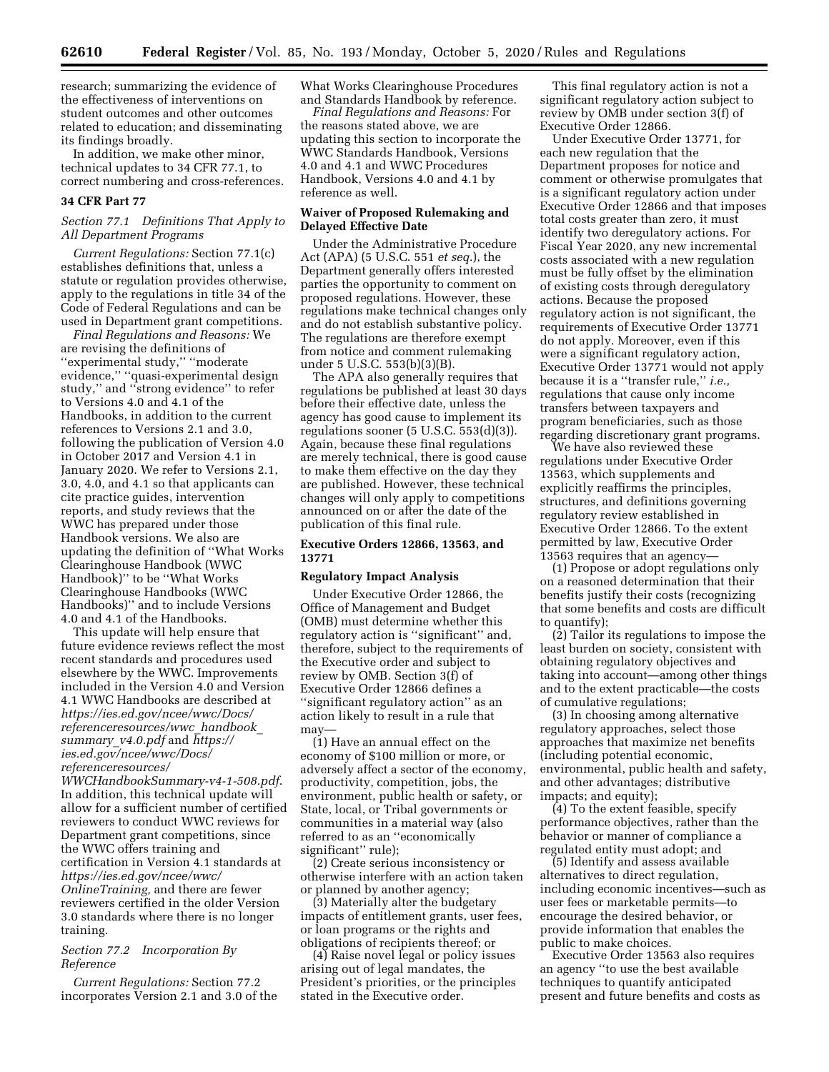research; summarizing the evidence of the effectiveness of interventions on student outcomes and other outcomes related to education; and disseminating its findings broadly.

In addition, we make other minor, technical updates to 34 CFR 77.1, to correct numbering and cross-references.

### **34 CFR Part 77**

## *Section 77.1 Definitions That Apply to All Department Programs*

*Current Regulations:* Section 77.1(c) establishes definitions that, unless a statute or regulation provides otherwise, apply to the regulations in title 34 of the Code of Federal Regulations and can be used in Department grant competitions.

*Final Regulations and Reasons:* We are revising the definitions of ''experimental study,'' ''moderate evidence,'' ''quasi-experimental design study,'' and ''strong evidence'' to refer to Versions 4.0 and 4.1 of the Handbooks, in addition to the current references to Versions 2.1 and 3.0, following the publication of Version 4.0 in October 2017 and Version 4.1 in January 2020. We refer to Versions 2.1, 3.0, 4.0, and 4.1 so that applicants can cite practice guides, intervention reports, and study reviews that the WWC has prepared under those Handbook versions. We also are updating the definition of ''What Works Clearinghouse Handbook (WWC Handbook)'' to be ''What Works Clearinghouse Handbooks (WWC Handbooks)'' and to include Versions 4.0 and 4.1 of the Handbooks.

This update will help ensure that future evidence reviews reflect the most recent standards and procedures used elsewhere by the WWC. Improvements included in the Version 4.0 and Version 4.1 WWC Handbooks are described at *[https://ies.ed.gov/ncee/wwc/Docs/](https://ies.ed.gov/ncee/wwc/Docs/referenceresources/wwc_handbook_summary_v4.0.pdf) [referenceresources/wwc](https://ies.ed.gov/ncee/wwc/Docs/referenceresources/wwc_handbook_summary_v4.0.pdf)*\_*handbook*\_ *[summary](https://ies.ed.gov/ncee/wwc/Docs/referenceresources/wwc_handbook_summary_v4.0.pdf)*\_*v4.0.pdf* and *[https://](https://ies.ed.gov/ncee/wwc/Docs/referenceresources/WWCHandbookSummary-v4-1-508.pdf) [ies.ed.gov/ncee/wwc/Docs/](https://ies.ed.gov/ncee/wwc/Docs/referenceresources/WWCHandbookSummary-v4-1-508.pdf)  [referenceresources/](https://ies.ed.gov/ncee/wwc/Docs/referenceresources/WWCHandbookSummary-v4-1-508.pdf)* 

*[WWCHandbookSummary-v4-1-508.pdf](https://ies.ed.gov/ncee/wwc/Docs/referenceresources/WWCHandbookSummary-v4-1-508.pdf)*. In addition, this technical update will allow for a sufficient number of certified reviewers to conduct WWC reviews for Department grant competitions, since the WWC offers training and certification in Version 4.1 standards at *[https://ies.ed.gov/ncee/wwc/](https://ies.ed.gov/ncee/wwc/OnlineTraining)  [OnlineTraining,](https://ies.ed.gov/ncee/wwc/OnlineTraining)* and there are fewer reviewers certified in the older Version 3.0 standards where there is no longer training.

## *Section 77.2 Incorporation By Reference*

*Current Regulations:* Section 77.2 incorporates Version 2.1 and 3.0 of the What Works Clearinghouse Procedures and Standards Handbook by reference.

*Final Regulations and Reasons:* For the reasons stated above, we are updating this section to incorporate the WWC Standards Handbook, Versions 4.0 and 4.1 and WWC Procedures Handbook, Versions 4.0 and 4.1 by reference as well.

## **Waiver of Proposed Rulemaking and Delayed Effective Date**

Under the Administrative Procedure Act (APA) (5 U.S.C. 551 *et seq.*), the Department generally offers interested parties the opportunity to comment on proposed regulations. However, these regulations make technical changes only and do not establish substantive policy. The regulations are therefore exempt from notice and comment rulemaking under 5 U.S.C. 553(b)(3)(B).

The APA also generally requires that regulations be published at least 30 days before their effective date, unless the agency has good cause to implement its regulations sooner  $(5 \text{ U.S.C. } 553(d)(3))$ . Again, because these final regulations are merely technical, there is good cause to make them effective on the day they are published. However, these technical changes will only apply to competitions announced on or after the date of the publication of this final rule.

## **Executive Orders 12866, 13563, and 13771**

#### **Regulatory Impact Analysis**

Under Executive Order 12866, the Office of Management and Budget (OMB) must determine whether this regulatory action is ''significant'' and, therefore, subject to the requirements of the Executive order and subject to review by OMB. Section 3(f) of Executive Order 12866 defines a ''significant regulatory action'' as an action likely to result in a rule that may—

(1) Have an annual effect on the economy of \$100 million or more, or adversely affect a sector of the economy, productivity, competition, jobs, the environment, public health or safety, or State, local, or Tribal governments or communities in a material way (also referred to as an ''economically significant'' rule);

(2) Create serious inconsistency or otherwise interfere with an action taken or planned by another agency;

(3) Materially alter the budgetary impacts of entitlement grants, user fees, or loan programs or the rights and obligations of recipients thereof; or

(4) Raise novel legal or policy issues arising out of legal mandates, the President's priorities, or the principles stated in the Executive order.

This final regulatory action is not a significant regulatory action subject to review by OMB under section 3(f) of Executive Order 12866.

Under Executive Order 13771, for each new regulation that the Department proposes for notice and comment or otherwise promulgates that is a significant regulatory action under Executive Order 12866 and that imposes total costs greater than zero, it must identify two deregulatory actions. For Fiscal Year 2020, any new incremental costs associated with a new regulation must be fully offset by the elimination of existing costs through deregulatory actions. Because the proposed regulatory action is not significant, the requirements of Executive Order 13771 do not apply. Moreover, even if this were a significant regulatory action, Executive Order 13771 would not apply because it is a ''transfer rule,'' *i.e.,*  regulations that cause only income transfers between taxpayers and program beneficiaries, such as those regarding discretionary grant programs.

We have also reviewed these regulations under Executive Order 13563, which supplements and explicitly reaffirms the principles, structures, and definitions governing regulatory review established in Executive Order 12866. To the extent permitted by law, Executive Order 13563 requires that an agency—

(1) Propose or adopt regulations only on a reasoned determination that their benefits justify their costs (recognizing that some benefits and costs are difficult to quantify);

(2) Tailor its regulations to impose the least burden on society, consistent with obtaining regulatory objectives and taking into account—among other things and to the extent practicable—the costs of cumulative regulations;

(3) In choosing among alternative regulatory approaches, select those approaches that maximize net benefits (including potential economic, environmental, public health and safety, and other advantages; distributive impacts; and equity);

(4) To the extent feasible, specify performance objectives, rather than the behavior or manner of compliance a regulated entity must adopt; and

(5) Identify and assess available alternatives to direct regulation, including economic incentives—such as user fees or marketable permits—to encourage the desired behavior, or provide information that enables the public to make choices.

Executive Order 13563 also requires an agency ''to use the best available techniques to quantify anticipated present and future benefits and costs as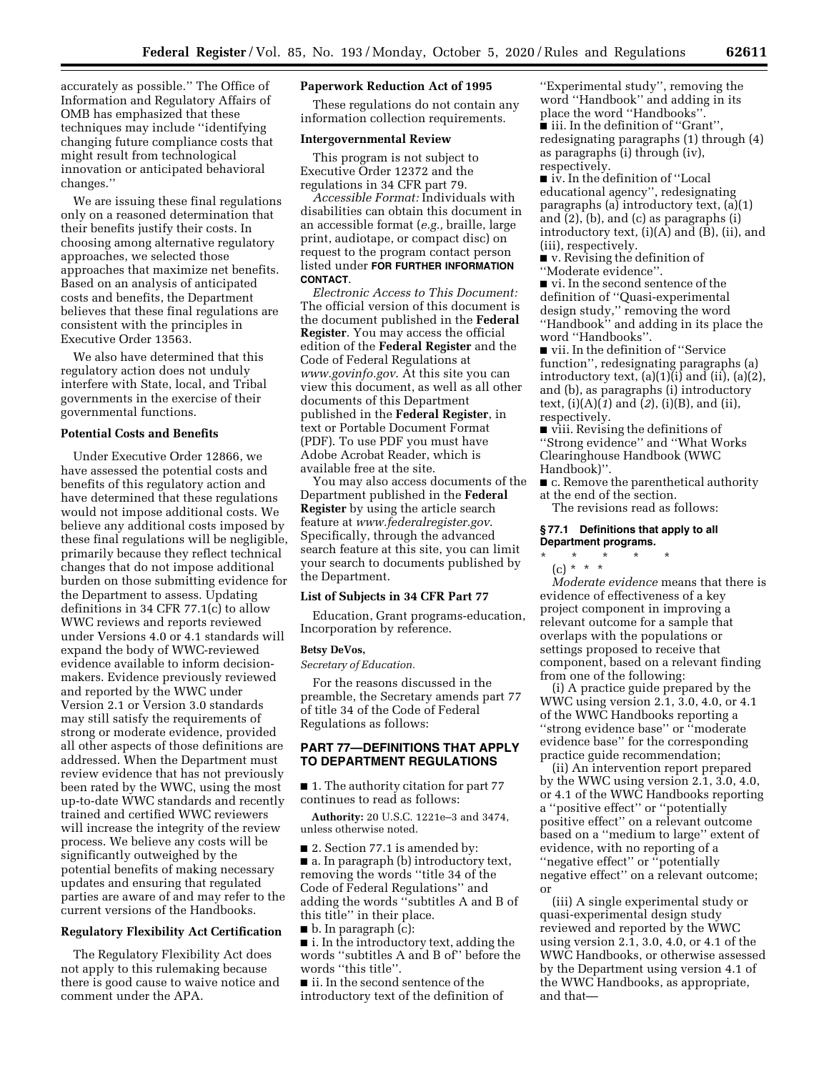accurately as possible.'' The Office of Information and Regulatory Affairs of OMB has emphasized that these techniques may include ''identifying changing future compliance costs that might result from technological innovation or anticipated behavioral changes.''

We are issuing these final regulations only on a reasoned determination that their benefits justify their costs. In choosing among alternative regulatory approaches, we selected those approaches that maximize net benefits. Based on an analysis of anticipated costs and benefits, the Department believes that these final regulations are consistent with the principles in Executive Order 13563.

We also have determined that this regulatory action does not unduly interfere with State, local, and Tribal governments in the exercise of their governmental functions.

### **Potential Costs and Benefits**

Under Executive Order 12866, we have assessed the potential costs and benefits of this regulatory action and have determined that these regulations would not impose additional costs. We believe any additional costs imposed by these final regulations will be negligible, primarily because they reflect technical changes that do not impose additional burden on those submitting evidence for the Department to assess. Updating definitions in 34 CFR 77.1(c) to allow WWC reviews and reports reviewed under Versions 4.0 or 4.1 standards will expand the body of WWC-reviewed evidence available to inform decisionmakers. Evidence previously reviewed and reported by the WWC under Version 2.1 or Version 3.0 standards may still satisfy the requirements of strong or moderate evidence, provided all other aspects of those definitions are addressed. When the Department must review evidence that has not previously been rated by the WWC, using the most up-to-date WWC standards and recently trained and certified WWC reviewers will increase the integrity of the review process. We believe any costs will be significantly outweighed by the potential benefits of making necessary updates and ensuring that regulated parties are aware of and may refer to the current versions of the Handbooks.

### **Regulatory Flexibility Act Certification**

The Regulatory Flexibility Act does not apply to this rulemaking because there is good cause to waive notice and comment under the APA.

#### **Paperwork Reduction Act of 1995**

These regulations do not contain any information collection requirements.

### **Intergovernmental Review**

This program is not subject to Executive Order 12372 and the regulations in 34 CFR part 79.

*Accessible Format:* Individuals with disabilities can obtain this document in an accessible format (*e.g.,* braille, large print, audiotape, or compact disc) on request to the program contact person listed under **FOR FURTHER INFORMATION CONTACT**.

*Electronic Access to This Document:*  The official version of this document is the document published in the **Federal Register**. You may access the official edition of the **Federal Register** and the Code of Federal Regulations at *[www.govinfo.gov](http://www.govinfo.gov)*. At this site you can view this document, as well as all other documents of this Department published in the **Federal Register**, in text or Portable Document Format (PDF). To use PDF you must have Adobe Acrobat Reader, which is available free at the site.

You may also access documents of the Department published in the **Federal Register** by using the article search feature at *[www.federalregister.gov](http://www.federalregister.gov)*. Specifically, through the advanced search feature at this site, you can limit your search to documents published by the Department.

#### **List of Subjects in 34 CFR Part 77**

Education, Grant programs-education, Incorporation by reference.

#### **Betsy DeVos,**

*Secretary of Education.* 

For the reasons discussed in the preamble, the Secretary amends part 77 of title 34 of the Code of Federal Regulations as follows:

## **PART 77—DEFINITIONS THAT APPLY TO DEPARTMENT REGULATIONS**

■ 1. The authority citation for part 77 continues to read as follows:

**Authority:** 20 U.S.C. 1221e–3 and 3474, unless otherwise noted.

■ 2. Section 77.1 is amended by: ■ a. In paragraph (b) introductory text, removing the words ''title 34 of the Code of Federal Regulations'' and adding the words ''subtitles A and B of this title'' in their place.

■ b. In paragraph (c):

■ i. In the introductory text, adding the words ''subtitles A and B of'' before the words ''this title''.

■ ii. In the second sentence of the introductory text of the definition of

''Experimental study'', removing the word ''Handbook'' and adding in its place the word ''Handbooks''. ■ iii. In the definition of "Grant", redesignating paragraphs (1) through (4) as paragraphs (i) through (iv), respectively.

■ iv. In the definition of "Local educational agency'', redesignating paragraphs (a) introductory text, (a)(1) and (2), (b), and (c) as paragraphs (i) introductory text, (i)(A) and (B), (ii), and (iii), respectively.

■ v. Revising the definition of ''Moderate evidence''.

■ vi. In the second sentence of the definition of ''Quasi-experimental design study,'' removing the word ''Handbook'' and adding in its place the word ''Handbooks''.

■ vii. In the definition of "Service function'', redesignating paragraphs (a) introductory text, (a)(1)(i) and (ii), (a)(2), and (b), as paragraphs (i) introductory text, (i)(A)(*1*) and (*2*), (i)(B), and (ii), respectively.

■ viii. Revising the definitions of ''Strong evidence'' and ''What Works Clearinghouse Handbook (WWC Handbook)''.

■ c. Remove the parenthetical authority at the end of the section.

The revisions read as follows:

#### **§ 77.1 Definitions that apply to all Department programs.**

# \* \* \* \* \*

(c) \* \* \* *Moderate evidence* means that there is evidence of effectiveness of a key project component in improving a relevant outcome for a sample that overlaps with the populations or settings proposed to receive that component, based on a relevant finding from one of the following:

(i) A practice guide prepared by the WWC using version 2.1, 3.0, 4.0, or 4.1 of the WWC Handbooks reporting a ''strong evidence base'' or ''moderate evidence base'' for the corresponding practice guide recommendation;

(ii) An intervention report prepared by the WWC using version 2.1, 3.0, 4.0, or 4.1 of the WWC Handbooks reporting a ''positive effect'' or ''potentially positive effect'' on a relevant outcome based on a ''medium to large'' extent of evidence, with no reporting of a ''negative effect'' or ''potentially negative effect'' on a relevant outcome; or

(iii) A single experimental study or quasi-experimental design study reviewed and reported by the WWC using version 2.1, 3.0, 4.0, or 4.1 of the WWC Handbooks, or otherwise assessed by the Department using version 4.1 of the WWC Handbooks, as appropriate, and that—